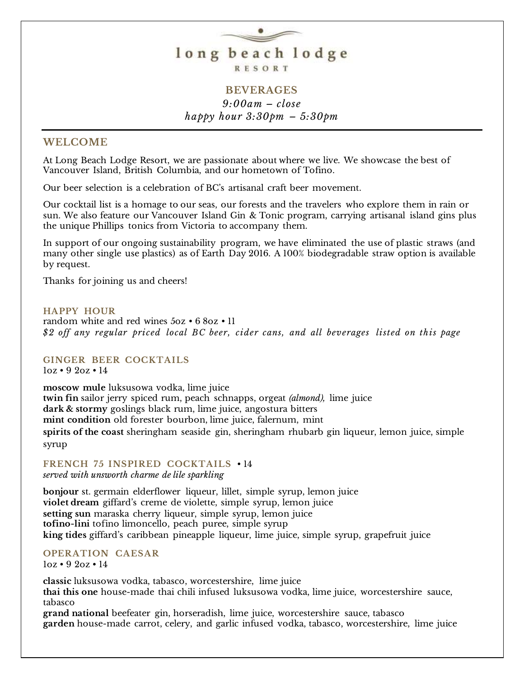

## **BEVERAGES** *9:00am – close happy hour 3:30pm – 5:30pm*

### **WELCOME**

At Long Beach Lodge Resort, we are passionate about where we live. We showcase the best of Vancouver Island, British Columbia, and our hometown of Tofino.

Our beer selection is a celebration of BC's artisanal craft beer movement.

Our cocktail list is a homage to our seas, our forests and the travelers who explore them in rain or sun. We also feature our Vancouver Island Gin & Tonic program, carrying artisanal island gins plus the unique Phillips tonics from Victoria to accompany them.

In support of our ongoing sustainability program, we have eliminated the use of plastic straws (and many other single use plastics) as of Earth Day 2016. A 100% biodegradable straw option is available by request.

Thanks for joining us and cheers!

### **HAPPY HOUR**

random white and red wines 5oz • 6 8oz • 11 *\$2 off any regular priced local BC beer, cider cans, and all beverages listed on this page*

**GINGER BEER COCKTAILS**

1oz • 9 2oz • 14

**moscow mule** luksusowa vodka, lime juice **twin fin** sailor jerry spiced rum, peach schnapps, orgeat *(almond),* lime juice **dark & stormy** goslings black rum, lime juice, angostura bitters **mint condition** old forester bourbon, lime juice, falernum, mint **spirits of the coast** sheringham seaside gin, sheringham rhubarb gin liqueur, lemon juice, simple syrup

**FRENCH 75 INSPIRED COCKTAILS** • 14 *served with unsworth charme de lile sparkling*

**bonjour** st. germain elderflower liqueur, lillet, simple syrup, lemon juice **violet dream** giffard's creme de violette, simple syrup, lemon juice **setting sun** maraska cherry liqueur, simple syrup, lemon juice **tofino-lini** tofino limoncello, peach puree, simple syrup **king tides** giffard's caribbean pineapple liqueur, lime juice, simple syrup, grapefruit juice

**OPERATION CAESAR** 1oz • 9 2oz • 14

**classic** luksusowa vodka, tabasco, worcestershire, lime juice **thai this one** house-made thai chili infused luksusowa vodka, lime juice, worcestershire sauce, tabasco

**grand national** beefeater gin, horseradish, lime juice, worcestershire sauce, tabasco **garden** house-made carrot, celery, and garlic infused vodka, tabasco, worcestershire, lime juice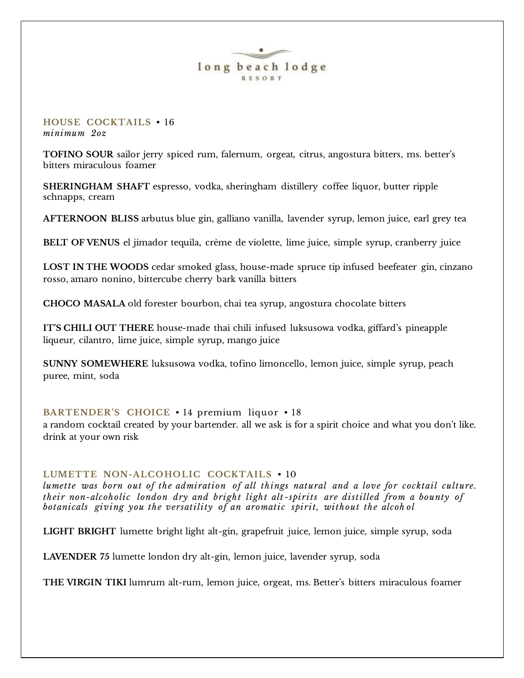### **HOUSE COCKTAILS** • 16 *minimum 2oz*

**TOFINO SOUR** sailor jerry spiced rum, falernum, orgeat*,* citrus, angostura bitters, ms. better's bitters miraculous foamer

**SHERINGHAM SHAFT** espresso, vodka, sheringham distillery coffee liquor, butter ripple schnapps, cream

**AFTERNOON BLISS** arbutus blue gin, galliano vanilla, lavender syrup, lemon juice, earl grey tea

**BELT OF VENUS** el jimador tequila, crème de violette, lime juice, simple syrup, cranberry juice

**LOST IN THE WOODS** cedar smoked glass, house-made spruce tip infused beefeater gin, cinzano rosso, amaro nonino, bittercube cherry bark vanilla bitters

**CHOCO MASALA** old forester bourbon, chai tea syrup, angostura chocolate bitters

**IT'S CHILI OUT THERE** house-made thai chili infused luksusowa vodka, giffard's pineapple liqueur, cilantro, lime juice, simple syrup, mango juice

**SUNNY SOMEWHERE** luksusowa vodka, tofino limoncello, lemon juice, simple syrup, peach puree, mint, soda

### **BARTENDER'S CHOICE** • 14 premium liquor • 18

a random cocktail created by your bartender. all we ask is for a spirit choice and what you don't like. drink at your own risk

### LUMETTE NON-ALCOHOLIC COCKTAILS  $\cdot$  10

*lumette was born out of the admiration of all things natural and a love for cocktail culture. their non-alcoholic london dry and bright light alt -spirits are distilled from a bounty of botanicals giving you the versatility of an aromatic spirit, without the alcoh ol*

**LIGHT BRIGHT** lumette bright light alt-gin, grapefruit juice, lemon juice, simple syrup, soda

**LAVENDER 75** lumette london dry alt-gin, lemon juice, lavender syrup, soda

**THE VIRGIN TIKI** lumrum alt-rum, lemon juice, orgeat, ms. Better's bitters miraculous foamer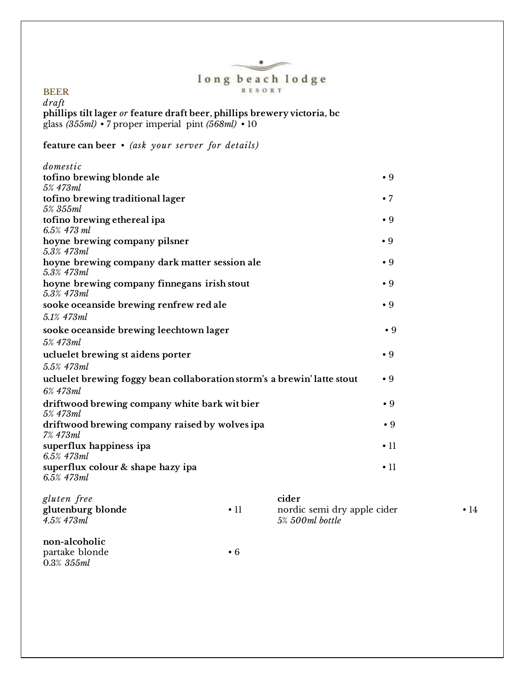### $\curvearrowleft$ long beach lodge RESORT

 $\bullet$ 

### **BEER**

*draft* **phillips tilt lager** *or* **feature draft beer, phillips brewery victoria, bc**  glass *(355ml)* • 7 proper imperial pint *(568ml)* • 10

### **feature can beer** • *(ask your server for details)*

| $\bullet$ 9 |
|-------------|
|             |
| $\bullet 7$ |
|             |
| $\bullet$ 9 |
|             |
| $\bullet$ 9 |
|             |
| $\bullet$ 9 |
|             |
| $\bullet$ 9 |
|             |
| $\bullet$ 9 |
|             |
| $\bullet$ 9 |
|             |
| $\bullet$ 9 |
|             |
| $\bullet$ 9 |
|             |
| $\bullet$ 9 |
|             |
| $\bullet$ 9 |
|             |
| $\cdot$ 11  |
|             |
|             |
| $\cdot$ 11  |
|             |

| gluten free<br>glutenburg blonde<br>4.5% 473ml   | $\cdot$ 11 | cider<br>nordic semi dry apple cider<br>5% 500ml bottle | $\bullet$ 14 |
|--------------------------------------------------|------------|---------------------------------------------------------|--------------|
| non-alcoholic<br>partake blonde<br>$0.3\%$ 355ml | $\cdot 6$  |                                                         |              |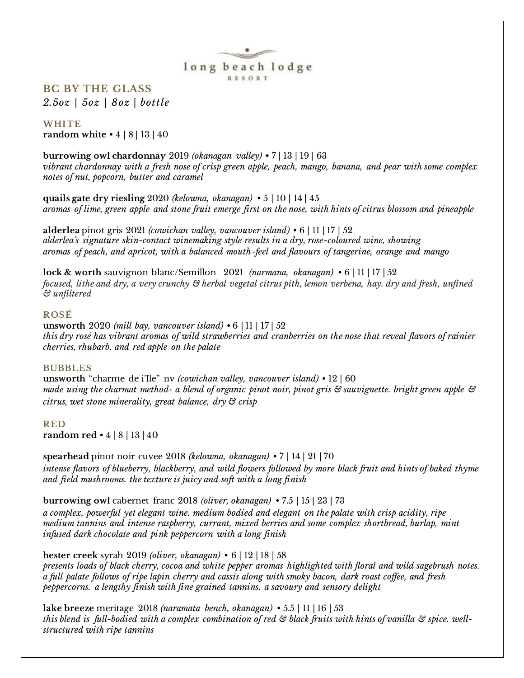

**BC BY THE GLASS** *2.5oz | 5oz | 8oz | bottle*

### **WHITE**

**random white** • 4 | 8 | 13 | 40

**burrowing owl chardonnay** 2019 *(okanagan valley)* **•** 7 | 13 | 19 | 63 *vibrant chardonnay with a fresh nose of crisp green apple, peach, mango, banana, and pear with some complex notes of nut, popcorn, butter and caramel*

**quails gate dry riesling** 2020 *(kelowna, okanagan)* • 5 | 10 | 14 | 45 *aromas of lime, green apple and stone fruit emerge first on the nose, with hints of citrus blossom and pineapple*

**alderlea** pinot gris 2021 *(cowichan valley, vancouver island)* • 6 | 11 | 17 | 52 *alderlea's signature skin-contact winemaking style results in a dry, rose-coloured wine, showing aromas of peach, and apricot, with a balanced mouth-feel and flavours of tangerine, orange and mango*

**lock & worth** sauvignon blanc/Semillon 2021 *(narmana, okanagan)* • 6 | 11 | 17 | 52 *focused, lithe and dry, a very crunchy & herbal vegetal citrus pith, lemon verbena, hay. dry and fresh, unfined & unfiltered*

### **ROSÉ**

**unsworth** 2020 *(mill bay, vancouver island)* **•** 6 | 11 | 17 | 52 *this dry rosé has vibrant aromas of wild strawberries and cranberries on the nose that reveal flavors of rainier cherries, rhubarb, and red apple on the palate*

### **BUBBLES**

**unsworth** "charme de i'Ile" nv *(cowichan valley, vancouver island)* • 12 | 60 *made using the charmat method- a blend of organic pinot noir, pinot gris & sauvignette. bright green apple & citrus, wet stone minerality, great balance, dry & crisp*

#### **RED**

**random red** • 4 | 8 | 13 | 40

**spearhead** pinot noir cuvee 2018 *(kelowna, okanagan)* • 7 | 14 | 21 | 70 *intense flavors of blueberry, blackberry, and wild flowers followed by more black fruit and hints of baked thyme and field mushrooms. the texture is juicy and soft with a long finish*

**burrowing owl** cabernet franc 2018 *(oliver, okanagan)* • 7.5 | 15 | 23 | 73 *a complex, powerful yet elegant wine. medium bodied and elegant on the palate with crisp acidity, ripe medium tannins and intense raspberry, currant, mixed berries and some complex shortbread, burlap, mint infused dark chocolate and pink peppercorn with a long finish*

**hester creek** syrah 2019 *(oliver, okanagan)* • 6 | 12 | 18 | 58 *presents loads of black cherry, cocoa and white pepper aromas highlighted with floral and wild sagebrush notes. a full palate follows of ripe lapin cherry and cassis along with smoky bacon, dark roast coffee, and fresh peppercorns. a lengthy finish with fine grained tannins. a savoury and sensory delight*

**lake breeze** meritage 2018 *(naramata bench, okanagan)* • 5.5 | 11 | 16 | 53 *this blend is full-bodied with a complex combination of red & black fruits with hints of vanilla & spice. wellstructured with ripe tannins*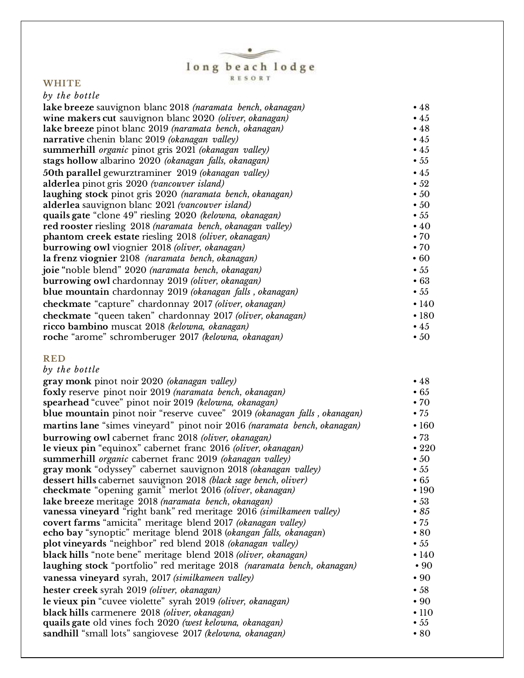# $\begin{array}{c}\n\textbf{long}\ \textbf{begin}\n\textbf{long}\ \textbf{long}\ n\end{array}$

 $\bullet$ 

### **WHITE**

| by the bottle                                               |              |
|-------------------------------------------------------------|--------------|
| lake breeze sauvignon blanc 2018 (naramata bench, okanagan) | •48          |
| wine makers cut sauvignon blanc 2020 (oliver, okanagan)     | $\bullet$ 45 |
| lake breeze pinot blanc 2019 (naramata bench, okanagan)     | •48          |
| narrative chenin blanc 2019 (okanagan valley)               | $\bullet$ 45 |
| summerhill organic pinot gris 2021 (okanagan valley)        | $\bullet$ 45 |
| stags hollow albarino 2020 (okanagan falls, okanagan)       | $\bullet 55$ |
| 50th parallel gewurztraminer 2019 (okanagan valley)         | $\bullet$ 45 |
| alderlea pinot gris 2020 (vancouver island)                 | $\cdot 52$   |
| laughing stock pinot gris 2020 (naramata bench, okanagan)   | $\cdot$ 50   |
| alderlea sauvignon blanc 2021 (vancouver island)            | $\cdot$ 50   |
| quails gate "clone 49" riesling 2020 (kelowna, okanagan)    | $\bullet$ 55 |
| red rooster riesling 2018 (naramata bench, okanagan valley) | $\cdot$ 40   |
| phantom creek estate riesling 2018 (oliver, okanagan)       | $\cdot 70$   |
| burrowing owl viognier 2018 (oliver, okanagan)              | $\cdot 70$   |
| la frenz viognier 2108 (naramata bench, okanagan)           | $\cdot 60$   |
| joie "noble blend" 2020 (naramata bench, okanagan)          | $\bullet$ 55 |
| burrowing owl chardonnay 2019 (oliver, okanagan)            | $\cdot 63$   |
| blue mountain chardonnay 2019 (okanagan falls, okanagan)    | $\bullet 55$ |
| checkmate "capture" chardonnay 2017 (oliver, okanagan)      | •140         |
| checkmate "queen taken" chardonnay 2017 (oliver, okanagan)  | •180         |
| ricco bambino muscat 2018 (kelowna, okanagan)               | $\bullet$ 45 |
| roche "arome" schromberuger 2017 (kelowna, okanagan)        | $\cdot$ 50   |

### **RED**

| by the bottle                                                            |              |
|--------------------------------------------------------------------------|--------------|
| gray monk pinot noir 2020 (okanagan valley)                              | •48          |
| foxly reserve pinot noir 2019 (naramata bench, okanagan)                 | $\cdot 65$   |
| spearhead "cuvee" pinot noir 2019 (kelowna, okanagan)                    | $\cdot 70$   |
| blue mountain pinot noir "reserve cuvee" 2019 (okanagan falls, okanagan) | $\bullet 75$ |
| martins lane "simes vineyard" pinot noir 2016 (naramata bench, okanagan) | $\cdot 160$  |
| burrowing owl cabernet franc 2018 (oliver, okanagan)                     | $\cdot 73$   |
| le vieux pin "equinox" cabernet franc 2016 (oliver, okanagan)            | •220         |
| summerhill organic cabernet franc 2019 (okanagan valley)                 | $\cdot$ 50   |
| gray monk "odyssey" cabernet sauvignon 2018 (okanagan valley)            | $\bullet 55$ |
| dessert hills cabernet sauvignon 2018 (black sage bench, oliver)         | $\cdot 65$   |
| checkmate "opening gamit" merlot 2016 (oliver, okanagan)                 | $\cdot$ 190  |
| lake breeze meritage 2018 (naramata bench, okanagan)                     | $\cdot$ 53   |
| vanessa vineyard "right bank" red meritage 2016 (similkameen valley)     | $\bullet$ 85 |
| covert farms "amicita" meritage blend 2017 (okanagan valley)             | $\bullet$ 75 |
| echo bay "synoptic" meritage blend 2018 (okangan falls, okanagan)        | $\cdot 80$   |
| plot vineyards "neighbor" red blend 2018 (okanagan valley)               | $\bullet 55$ |
| black hills "note bene" meritage blend 2018 (oliver, okanagan)           | $\cdot$ 140  |
| laughing stock "portfolio" red meritage 2018 (naramata bench, okanagan)  | $\cdot 90$   |
| vanessa vineyard syrah, 2017 (similkameen valley)                        | $\cdot 90$   |
| hester creek syrah 2019 (oliver, okanagan)                               | $\cdot$ 58   |
| le vieux pin "cuvee violette" syrah 2019 (oliver, okanagan)              | $\cdot$ 90   |
| black hills carmenere 2018 (oliver, okanagan)                            | $\cdot$ 110  |
| quails gate old vines foch 2020 (west kelowna, okanagan)                 | $\bullet 55$ |
| sandhill "small lots" sangiovese 2017 (kelowna, okanagan)                | $\cdot 80$   |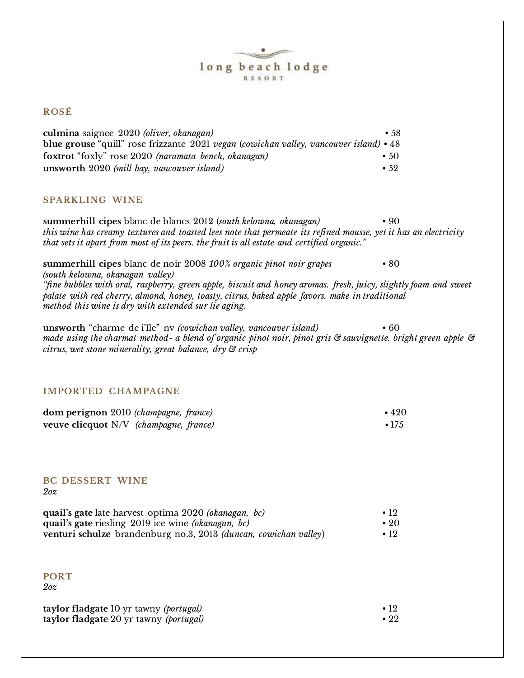### **ROSÉ**

| culmina saignee 2020 (oliver, okanagan)                                                       | $\bullet$ 58  |
|-----------------------------------------------------------------------------------------------|---------------|
| <b>blue grouse</b> "quill" rose frizzante 2021 vegan (cowichan valley, vancouver island) • 48 |               |
| foxtrot "foxly" rose 2020 (naramata bench, okanagan)                                          | $\cdot$ 50    |
| unsworth 2020 (mill bay, vancouver island)                                                    | $\bullet$ 59. |

### **SPARKLING WINE**

**summerhill cipes** blanc de blancs 2012 (*south kelowna, okanagan)* • 90 *this wine has creamy textures and toasted lees note that permeate its refined mousse, yet it has an electricity that sets it apart from most of its peers. the fruit is all estate and certified organic."*

**summerhill cipes** blanc de noir 2008 *100% organic pinot noir grapes* • 80 *(south kelowna, okanagan valley) "fine bubbles with oral, raspberry, green apple, biscuit and honey aromas. fresh, juicy, slightly foam and sweet palate with red cherry, almond, honey, toasty, citrus, baked apple favors. make in traditional method this wine is dry with extended sur lie aging.*

**unsworth** "charme de i'Ile" nv *(cowichan valley, vancouver island)* • 60 *made using the charmat method- a blend of organic pinot noir, pinot gris & sauvignette. bright green apple & citrus, wet stone minerality, great balance, dry & crisp* 

### **IMPORTED CHAMPAGNE**

| dom perignon 2010 (champagne, france)  | $\cdot$ 420 |
|----------------------------------------|-------------|
| veuve clicquot N/V (champagne, france) | $\cdot$ 175 |

#### **BC DESSERT WINE** *2oz*

| quail's gate late harvest optima 2020 <i>(okanagan, bc)</i>             | $\cdot$ 19  |
|-------------------------------------------------------------------------|-------------|
| quail's gate riesling 2019 ice wine <i>(okanagan, bc)</i>               | $\cdot$ 20  |
| venturi schulze brandenburg no.3, 2013 <i>(duncan, cowichan valley)</i> | $\cdot$ 19. |

**PORT**  *2oz*

| taylor fladgate 10 yr tawny ( <i>portugal</i> ) | $\bullet$ 19 |
|-------------------------------------------------|--------------|
| taylor fladgate 20 yr tawny (portugal)          | $\cdot$ 22   |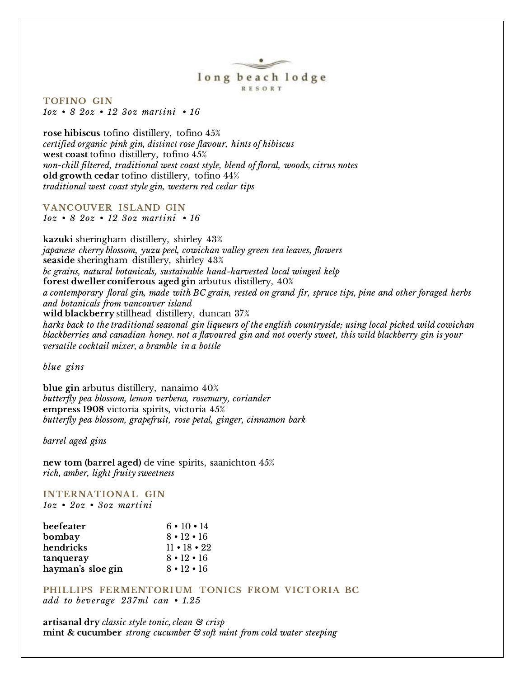**TOFINO GIN** *1oz • 8 2oz • 12 3oz martini • 16*

**rose hibiscus** tofino distillery, tofino 45% *certified organic pink gin, distinct rose flavour, hints of hibiscus* **west coast** tofino distillery, tofino 45% *non-chill filtered, traditional west coast style, blend of floral, woods, citrus notes* **old growth cedar** tofino distillery, tofino 44% *traditional west coast style gin, western red cedar tips*

**VANCOUVER ISLAND GIN** *1oz • 8 2oz • 12 3oz martini • 16*

**kazuki** sheringham distillery, shirley 43% *japanese cherry blossom, yuzu peel, cowichan valley green tea leaves, flowers* **seaside** sheringham distillery, shirley 43% *bc grains, natural botanicals, sustainable hand-harvested local winged kelp* **forest dweller coniferous aged gin** arbutus distillery, 40% *a contemporary floral gin, made with BC grain, rested on grand fir, spruce tips, pine and other foraged herbs and botanicals from vancouver island* **wild blackberry** stillhead distillery, duncan 37% *harks back to the traditional seasonal gin liqueurs of the english countryside; using local picked wild cowichan blackberries and canadian honey. not a flavoured gin and not overly sweet, this wild blackberry gin is your versatile cocktail mixer, a bramble in a bottle*

*blue gins*

**blue gin** arbutus distillery, nanaimo 40% *butterfly pea blossom, lemon verbena, rosemary, coriander* **empress 1908** victoria spirits, victoria 45% *butterfly pea blossom, grapefruit, rose petal, ginger, cinnamon bark*

*barrel aged gins*

**new tom (barrel aged)** de vine spirits, saanichton 45% *rich, amber, light fruity sweetness*

# **INTERNATIONAL GIN**

*1oz • 2oz • 3oz martini*

| beefeater         | $6 \cdot 10 \cdot 14$  |
|-------------------|------------------------|
| bombay            | $8 \cdot 12 \cdot 16$  |
| hendricks         | $11 \cdot 18 \cdot 22$ |
| tanqueray         | $8 \cdot 12 \cdot 16$  |
| hayman's sloe gin | $8 \cdot 12 \cdot 16$  |

PHILLIPS FERMENTORIUM TONICS FROM VICTORIA BC *add to beverage 237ml can • 1.25*

**artisanal dry** *classic style tonic, clean & crisp* **mint & cucumber** *strong cucumber & soft mint from cold water steeping*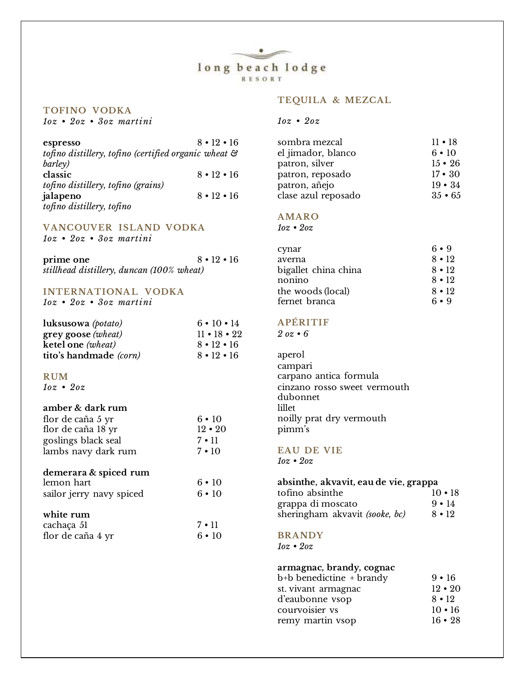### **TOFINO VODKA** *1oz • 2oz • 3oz martini*

### **TEQUILA & MEZCAL**

### *1oz • 2oz*

| espresso                                             | $8 \cdot 19 \cdot 16$ |
|------------------------------------------------------|-----------------------|
| tofino distillery, tofino (certified organic wheat & |                       |
| barley)                                              |                       |
| classic                                              | $8 \cdot 12 \cdot 16$ |
| tofino distillery, tofino (grains)                   |                       |
| jalapeno                                             | $8 \cdot 12 \cdot 16$ |
| tofino distillery, tofino                            |                       |

#### **VANCOUVER ISLAND VODKA** *1oz • 2oz • 3oz martini*

| prime one                                 | $8 \cdot 12 \cdot 16$ |
|-------------------------------------------|-----------------------|
| stillhead distillery, duncan (100% wheat) |                       |

### **INTERNATIONAL VODKA**

*1oz • 2oz • 3oz martini*

| luksusowa (potato)                  | $6 \cdot 10 \cdot 14$  |
|-------------------------------------|------------------------|
| $\arg\cos\left(\text{wheat}\right)$ | $11 \cdot 18 \cdot 22$ |
| ketel one (wheat)                   | $8 \cdot 12 \cdot 16$  |
| tito's handmade (corn)              | $8 \cdot 12 \cdot 16$  |

### **RUM**

*1oz • 2oz*

### **amber & dark rum**

| flor de caña 5 yr   | $6 \cdot 10$  |
|---------------------|---------------|
| flor de caña 18 yr  | $12 \cdot 20$ |
| goslings black seal | $7 \cdot 11$  |
| lambs navy dark rum | $7 \cdot 10$  |

### **demerara & spiced rum**

| lemon hart               | $6 \cdot 10$ |
|--------------------------|--------------|
| sailor jerry navy spiced | $6 \cdot 10$ |

### **white rum**

| cachaça 51        | $7 \cdot 11$ |
|-------------------|--------------|
| flor de caña 4 yr | $6 \cdot 10$ |

| sombra mezcal      | $11 \cdot 18$ |
|--------------------|---------------|
| el jimador, blanco | $6 \cdot 10$  |
| patron, silver     | $15 \cdot 26$ |
| patron, reposado   | $17 \cdot 30$ |
| patron, añeio      | $19 \cdot 34$ |

### **AMARO**

clase azul reposado

*1oz • 2oz*

| cynar                | $6 \cdot 9$  |
|----------------------|--------------|
| averna               | $8 \cdot 12$ |
| bigallet china china | $8 \cdot 12$ |
| nonino               | $8 \cdot 12$ |
| the woods (local)    | $8 \cdot 12$ |
| fernet branca        | $6 \cdot 9$  |

patron, añejo 19 • 34<br>clase azul reposado 35 • 65

### **APÉRITIF**

*2 oz • 6*

aperol campari carpano antica formula cinzano rosso sweet vermouth dubonnet lillet noilly prat dry vermouth pimm's

#### **EAU DE VIE**

*1oz • 2oz*

| absinthe, akvavit, eau de vie, grappa |               |
|---------------------------------------|---------------|
| tofino absinthe                       | $10 \cdot 18$ |
| grappa di moscato                     | $9 \cdot 14$  |
| sheringham akvavit (sooke, bc)        | $8 \cdot 12$  |

### **BRANDY**

*1oz • 2oz*

### **armagnac, brandy, cognac**

| b+b benedictine + brandy | $9 \cdot 16$  |
|--------------------------|---------------|
| st. vivant armagnac      | $12 \cdot 20$ |
| d'eaubonne vsop          | $8 \cdot 12$  |
| courvoisier vs           | $10 \cdot 16$ |
| remy martin vsop         | $16 \cdot 28$ |
|                          |               |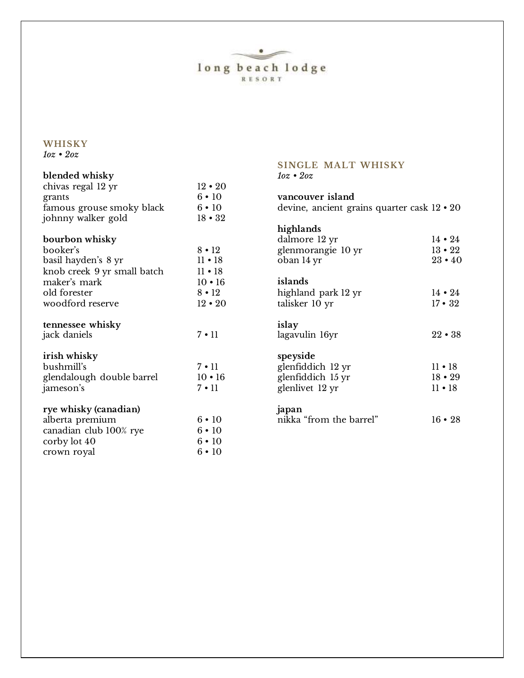$\bullet$  $\overline{\lim_{R \to 0} \lim_{R \to 0} \lim_{R \to 0} \lim_{R \to 0} \lim_{R \to 0} \lim_{R \to 0} \lim_{R \to 0} \lim_{R \to 0} \lim_{R \to 0} \lim_{R \to 0} \lim_{R \to 0} \lim_{R \to 0} \lim_{R \to 0} \lim_{R \to 0} \lim_{R \to 0} \lim_{R \to 0} \lim_{R \to 0} \lim_{R \to 0} \lim_{R \to 0} \lim_{R \to 0} \lim_{R \to 0} \lim_{R \to 0} \lim_{R \to 0} \lim_{R \to 0} \$ 

**SINGLE MALT WHISKY**

### **WHISKY** *1oz • 2oz*

| blended whisky                           |               | $10z \cdot 20z$                             |               |
|------------------------------------------|---------------|---------------------------------------------|---------------|
| chivas regal 12 yr                       | $12 \cdot 20$ |                                             |               |
| grants                                   | $6 \cdot 10$  | vancouver island                            |               |
| famous grouse smoky black                | $6 \cdot 10$  | devine, ancient grains quarter cask 12 • 20 |               |
| johnny walker gold                       | $18 \cdot 32$ |                                             |               |
|                                          |               | highlands                                   |               |
| bourbon whisky                           |               | dalmore 12 yr                               | $14 \cdot 24$ |
| booker's                                 | $8 \cdot 12$  | glenmorangie 10 yr                          | $13 \cdot 22$ |
| basil hayden's 8 yr                      | $11 \cdot 18$ | oban 14 yr                                  | $23 \cdot 40$ |
| knob creek 9 yr small batch              | $11 \cdot 18$ |                                             |               |
| maker's mark                             | $10 \cdot 16$ | islands                                     |               |
| old forester                             | $8 \cdot 12$  | highland park 12 yr                         | $14 \cdot 24$ |
| woodford reserve                         | $12 \cdot 20$ | talisker 10 yr                              | $17 \cdot 32$ |
|                                          |               |                                             |               |
| tennessee whisky                         |               | islay                                       |               |
| jack daniels                             | $7 \cdot 11$  | lagavulin 16yr                              | $22 \cdot 38$ |
| irish whisky                             |               | speyside                                    |               |
| bushmill's                               | $7 \cdot 11$  | glenfiddich 12 yr                           | $11 \cdot 18$ |
| glendalough double barrel                | $10 \cdot 16$ | glenfiddich 15 yr                           | $18 \cdot 29$ |
| jameson's                                | $7 \cdot 11$  | glenlivet 12 yr                             | $11 \cdot 18$ |
|                                          |               |                                             |               |
| rye whisky (canadian)<br>alberta premium | $6 \cdot 10$  | japan<br>nikka "from the barrel"            | $16 \cdot 28$ |
| canadian club 100% rye                   | $6 \cdot 10$  |                                             |               |
| corby lot 40                             | $6 \cdot 10$  |                                             |               |